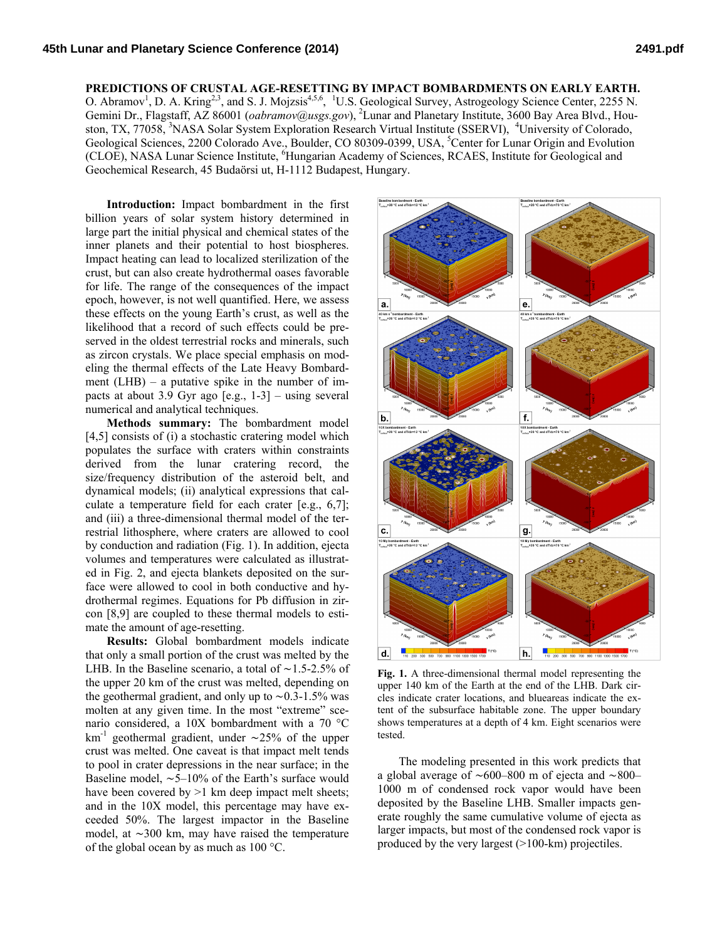## **PREDICTIONS OF CRUSTAL AGE-RESETTING BY IMPACT BOMBARDMENTS ON EARLY EARTH.**

O. Abramov<sup>1</sup>, D. A. Kring<sup>2,3</sup>, and S. J. Mojzsis<sup>4,5,6</sup>, <sup>1</sup>U.S. Geological Survey, Astrogeology Science Center, 2255 N. Gemini Dr., Flagstaff, AZ 86001 (*oabramov@usgs.gov*), <sup>2</sup>Lunar and Planetary Institute, 3600 Bay Area Blvd., Houston, TX, 77058, <sup>3</sup>NASA Solar System Exploration Research Virtual Institute (SSERVI), <sup>4</sup>University of Colorado, Geological Sciences, 2200 Colorado Ave., Boulder, CO 80309-0399, USA, <sup>5</sup>Center for Lunar Origin and Evolution (CLOE), NASA Lunar Science Institute, <sup>6</sup>Hungarian Academy of Sciences, RCAES, Institute for Geological and Geochemical Research, 45 Budaörsi ut, H-1112 Budapest, Hungary.

 **Introduction:** Impact bombardment in the first billion years of solar system history determined in large part the initial physical and chemical states of the inner planets and their potential to host biospheres. Impact heating can lead to localized sterilization of the crust, but can also create hydrothermal oases favorable for life. The range of the consequences of the impact epoch, however, is not well quantified. Here, we assess these effects on the young Earth's crust, as well as the likelihood that a record of such effects could be preserved in the oldest terrestrial rocks and minerals, such as zircon crystals. We place special emphasis on modeling the thermal effects of the Late Heavy Bombardment (LHB) – a putative spike in the number of impacts at about 3.9 Gyr ago [e.g., 1-3] – using several numerical and analytical techniques.

 **Methods summary:** The bombardment model [4,5] consists of (i) a stochastic cratering model which populates the surface with craters within constraints derived from the lunar cratering record, the size/frequency distribution of the asteroid belt, and dynamical models; (ii) analytical expressions that calculate a temperature field for each crater [e.g., 6,7]; and (iii) a three-dimensional thermal model of the terrestrial lithosphere, where craters are allowed to cool by conduction and radiation (Fig. 1). In addition, ejecta volumes and temperatures were calculated as illustrated in Fig. 2, and ejecta blankets deposited on the surface were allowed to cool in both conductive and hydrothermal regimes. Equations for Pb diffusion in zircon [8,9] are coupled to these thermal models to estimate the amount of age-resetting.

 **Results:** Global bombardment models indicate that only a small portion of the crust was melted by the LHB. In the Baseline scenario, a total of ∼1.5-2.5% of the upper 20 km of the crust was melted, depending on the geothermal gradient, and only up to ∼0.3-1.5% was molten at any given time. In the most "extreme" scenario considered, a 10X bombardment with a 70 °C km-1 geothermal gradient, under ∼25% of the upper crust was melted. One caveat is that impact melt tends to pool in crater depressions in the near surface; in the Baseline model, ∼5–10% of the Earth's surface would have been covered by >1 km deep impact melt sheets; and in the 10X model, this percentage may have exceeded 50%. The largest impactor in the Baseline model, at ∼300 km, may have raised the temperature of the global ocean by as much as 100 °C.



**Fig. 1.** A three-dimensional thermal model representing the upper 140 km of the Earth at the end of the LHB. Dark circles indicate crater locations, and blueareas indicate the extent of the subsurface habitable zone. The upper boundary shows temperatures at a depth of 4 km. Eight scenarios were tested.

 The modeling presented in this work predicts that a global average of ∼600–800 m of ejecta and ∼800– 1000 m of condensed rock vapor would have been deposited by the Baseline LHB. Smaller impacts generate roughly the same cumulative volume of ejecta as larger impacts, but most of the condensed rock vapor is produced by the very largest (>100-km) projectiles.